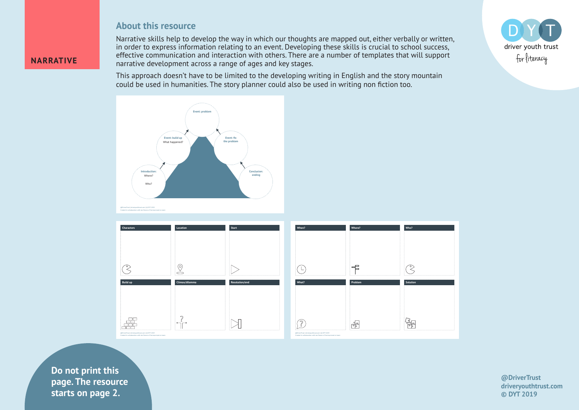## **About this resource**

Narrative skills help to develop the way in which our thoughts are mapped out, either verbally or written, in order to express information relating to an event. Developing these skills is crucial to school success, effective communication and interaction with others. There are a number of templates that will support narrative development across a range of ages and key stages.

This approach doesn't have to be limited to the developing writing in English and the story mountain could be used in humanities. The story planner could also be used in writing non fiction too.





 $\blacksquare$ **Example 12.** Starts on page 2. **Do not print this page. The resource** 

**NARRATIVE**

**@DriverTrust driveryouthtrust.com © DYT 2019**

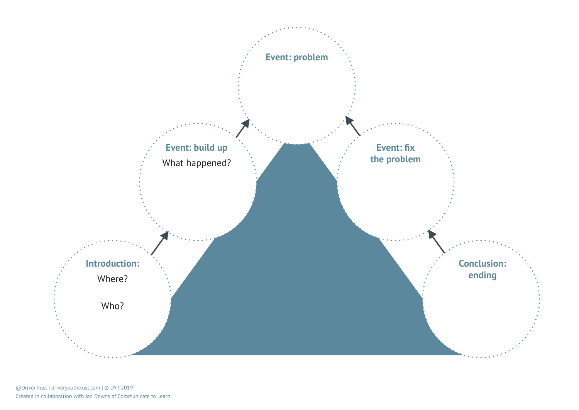

@DriverTrust | driveryouthtrust.com | © DYT 2019 Created in collaboration with Jan Downs of Communicate to Learn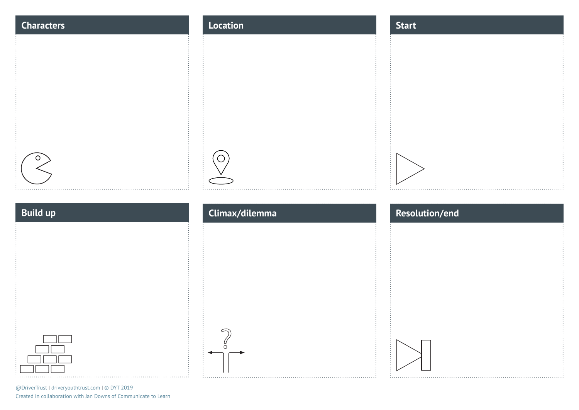| <b>Characters</b> | Location       | <b>Start</b>   |
|-------------------|----------------|----------------|
|                   |                |                |
|                   |                |                |
|                   |                |                |
|                   |                |                |
|                   |                |                |
|                   |                |                |
| .                 |                |                |
|                   |                |                |
| <b>Build up</b>   | Climax/dilemma | Resolution/end |
|                   |                |                |
|                   |                |                |
|                   |                |                |
|                   |                |                |
|                   |                |                |
|                   | ∩              |                |

@DriverTrust | driveryouthtrust.com | © DYT 2019 Created in collaboration with Jan Downs of Communicate to Learn